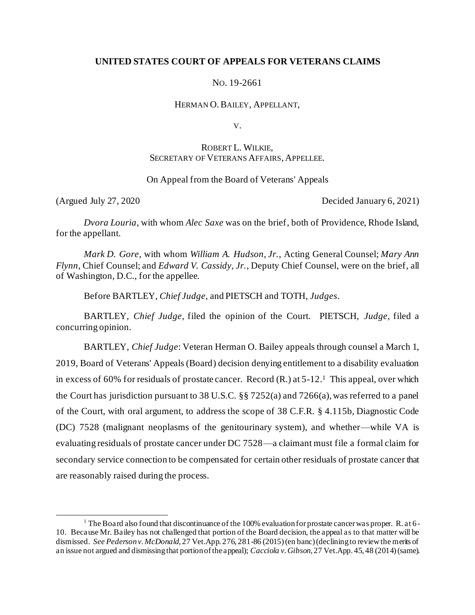# **UNITED STATES COURT OF APPEALS FOR VETERANS CLAIMS**

NO. 19-2661

HERMAN O.BAILEY, APPELLANT,

V.

# ROBERT L. WILKIE, SECRETARY OF VETERANS AFFAIRS, APPELLEE.

### On Appeal from the Board of Veterans' Appeals

(Argued July 27, 2020 Decided January 6, 2021)

*Dvora Louria*, with whom *Alec Saxe* was on the brief, both of Providence, Rhode Island, for the appellant.

*Mark D. Gore*, with whom *William A. Hudson, Jr.*, Acting General Counsel; *Mary Ann Flynn*, Chief Counsel; and *Edward V. Cassidy, Jr.*, Deputy Chief Counsel, were on the brief, all of Washington, D.C., for the appellee.

Before BARTLEY, *Chief Judge*, and PIETSCH and TOTH, *Judges*.

BARTLEY, *Chief Judge*, filed the opinion of the Court. PIETSCH, *Judge*, filed a concurring opinion.

BARTLEY, *Chief Judge*: Veteran Herman O. Bailey appeals through counsel a March 1, 2019, Board of Veterans' Appeals (Board) decision denying entitlement to a disability evaluation in excess of 60% for residuals of prostate cancer. Record (R.) at 5-12.<sup>1</sup> This appeal, over which the Court has jurisdiction pursuant to 38 U.S.C. §§ 7252(a) and 7266(a), was referred to a panel of the Court, with oral argument, to address the scope of 38 C.F.R. § 4.115b, Diagnostic Code (DC) 7528 (malignant neoplasms of the genitourinary system), and whether—while VA is evaluating residuals of prostate cancer under DC 7528—a claimant must file a formal claim for secondary service connection to be compensated for certain other residuals of prostate cancer that are reasonably raised during the process.

<sup>&</sup>lt;sup>1</sup> The Board also found that discontinuance of the 100% evaluation for prostate cancer was proper. R. at 6-10. Because Mr. Bailey has not challenged that portion of the Board decision, the appeal as to that matter will be dismissed. *See Pederson v. McDonald*, 27 Vet.App. 276, 281-86 (2015) (en banc) (declining to review the merits of an issue not argued and dismissing that portion of the appeal); *Cacciola v. Gibson*, 27 Vet.App. 45, 48 (2014) (same).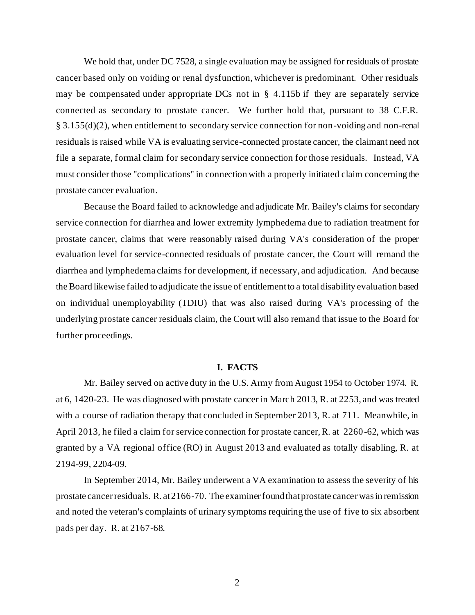We hold that, under DC 7528, a single evaluation may be assigned for residuals of prostate cancer based only on voiding or renal dysfunction, whichever is predominant. Other residuals may be compensated under appropriate DCs not in § 4.115b if they are separately service connected as secondary to prostate cancer. We further hold that, pursuant to 38 C.F.R. § 3.155(d)(2), when entitlement to secondary service connection for non-voiding and non-renal residuals is raised while VA is evaluating service-connected prostate cancer, the claimant need not file a separate, formal claim for secondary service connection for those residuals. Instead, VA must consider those "complications" in connection with a properly initiated claim concerning the prostate cancer evaluation.

Because the Board failed to acknowledge and adjudicate Mr. Bailey's claims for secondary service connection for diarrhea and lower extremity lymphedema due to radiation treatment for prostate cancer, claims that were reasonably raised during VA's consideration of the proper evaluation level for service-connected residuals of prostate cancer, the Court will remand the diarrhea and lymphedema claims for development, if necessary, and adjudication. And because the Board likewise failed to adjudicate the issue of entitlement to a total disability evaluation based on individual unemployability (TDIU) that was also raised during VA's processing of the underlying prostate cancer residuals claim, the Court will also remand that issue to the Board for further proceedings.

### **I. FACTS**

Mr. Bailey served on active duty in the U.S. Army from August 1954 to October 1974. R. at 6, 1420-23. He was diagnosed with prostate cancer in March 2013, R. at 2253, and was treated with a course of radiation therapy that concluded in September 2013, R. at 711. Meanwhile, in April 2013, he filed a claim for service connection for prostate cancer, R. at 2260-62, which was granted by a VA regional office (RO) in August 2013 and evaluated as totally disabling, R. at 2194-99, 2204-09.

In September 2014, Mr. Bailey underwent a VA examination to assess the severity of his prostate cancer residuals. R. at 2166-70. The examiner found that prostate cancer was in remission and noted the veteran's complaints of urinary symptoms requiring the use of five to six absorbent pads per day. R. at 2167-68.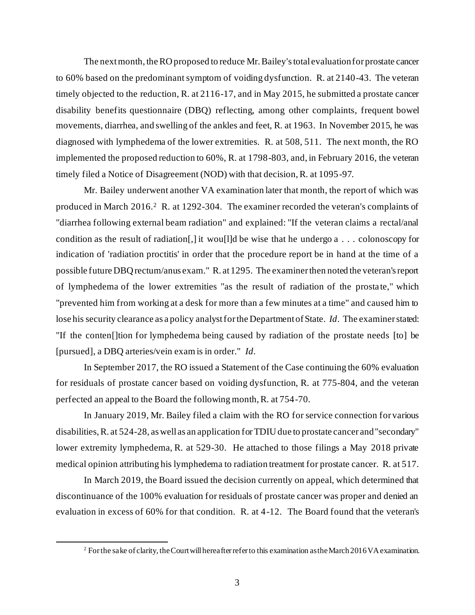The next month, the RO proposed to reduce Mr. Bailey's total evaluation for prostate cancer to 60% based on the predominant symptom of voiding dysfunction. R. at 2140-43. The veteran timely objected to the reduction, R. at 2116-17, and in May 2015, he submitted a prostate cancer disability benefits questionnaire (DBQ) reflecting, among other complaints, frequent bowel movements, diarrhea, and swelling of the ankles and feet, R. at 1963. In November 2015, he was diagnosed with lymphedema of the lower extremities. R. at 508, 511. The next month, the RO implemented the proposed reduction to 60%, R. at 1798-803, and, in February 2016, the veteran timely filed a Notice of Disagreement (NOD) with that decision, R. at 1095-97.

Mr. Bailey underwent another VA examination later that month, the report of which was produced in March 2016.<sup>2</sup> R. at 1292-304. The examiner recorded the veteran's complaints of "diarrhea following external beam radiation" and explained: "If the veteran claims a rectal/anal condition as the result of radiation [,] it woull d be wise that he undergo  $a \dots$  colonoscopy for indication of 'radiation proctitis' in order that the procedure report be in hand at the time of a possible future DBQ rectum/anus exam." R. at 1295. The examiner then noted the veteran's report of lymphedema of the lower extremities "as the result of radiation of the prosta te," which "prevented him from working at a desk for more than a few minutes at a time" and caused him to lose his security clearance as a policy analyst for the Department of State. *Id*. The examiner stated: "If the conten[]tion for lymphedema being caused by radiation of the prostate needs [to] be [pursued], a DBQ arteries/vein exam is in order." *Id*.

In September 2017, the RO issued a Statement of the Case continuing the 60% evaluation for residuals of prostate cancer based on voiding dysfunction, R. at 775-804, and the veteran perfected an appeal to the Board the following month, R. at 754-70.

In January 2019, Mr. Bailey filed a claim with the RO for service connection for various disabilities, R. at 524-28, as well as an application for TDIU due to prostate cancer and "secondary" lower extremity lymphedema, R. at 529-30. He attached to those filings a May 2018 private medical opinion attributing his lymphedema to radiation treatment for prostate cancer. R. at 517.

In March 2019, the Board issued the decision currently on appeal, which determined that discontinuance of the 100% evaluation for residuals of prostate cancer was proper and denied an evaluation in excess of 60% for that condition. R. at 4-12. The Board found that the veteran's

<sup>&</sup>lt;sup>2</sup> For the sake of clarity, the Court will hereafter refer to this examination as the March 2016 VA examination.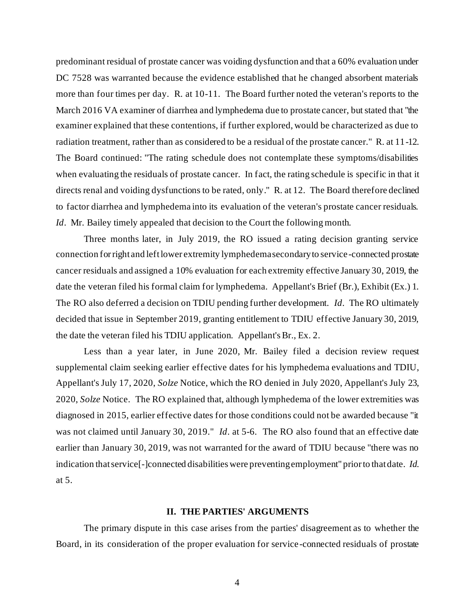predominant residual of prostate cancer was voiding dysfunction and that a 60% evaluation under DC 7528 was warranted because the evidence established that he changed absorbent materials more than four times per day. R. at 10-11. The Board further noted the veteran's reports to the March 2016 VA examiner of diarrhea and lymphedema due to prostate cancer, but stated that "the examiner explained that these contentions, if further explored, would be characterized as due to radiation treatment, rather than as considered to be a residual of the prostate cancer." R. at 11-12. The Board continued: "The rating schedule does not contemplate these symptoms/disabilities when evaluating the residuals of prostate cancer. In fact, the rating schedule is specific in that it directs renal and voiding dysfunctions to be rated, only." R. at 12. The Board therefore declined to factor diarrhea and lymphedema into its evaluation of the veteran's prostate cancer residuals. *Id.* Mr. Bailey timely appealed that decision to the Court the following month.

Three months later, in July 2019, the RO issued a rating decision granting service connection for right and left lower extremity lymphedema secondary to service-connected prostate cancer residuals and assigned a 10% evaluation for each extremity effective January 30, 2019, the date the veteran filed his formal claim for lymphedema. Appellant's Brief (Br.), Exhibit (Ex.) 1. The RO also deferred a decision on TDIU pending further development. *Id*. The RO ultimately decided that issue in September 2019, granting entitlement to TDIU effective January 30, 2019, the date the veteran filed his TDIU application. Appellant's Br., Ex. 2.

Less than a year later, in June 2020, Mr. Bailey filed a decision review request supplemental claim seeking earlier effective dates for his lymphedema evaluations and TDIU, Appellant's July 17, 2020, *Solze* Notice, which the RO denied in July 2020, Appellant's July 23, 2020, *Solze* Notice. The RO explained that, although lymphedema of the lower extremities was diagnosed in 2015, earlier effective dates for those conditions could not be awarded because "it was not claimed until January 30, 2019." *Id*. at 5-6. The RO also found that an effective date earlier than January 30, 2019, was not warranted for the award of TDIU because "there was no indication that service[-]connected disabilities were preventing employment" prior to that date. *Id*. at 5.

### **II. THE PARTIES' ARGUMENTS**

The primary dispute in this case arises from the parties' disagreement as to whether the Board, in its consideration of the proper evaluation for service-connected residuals of prostate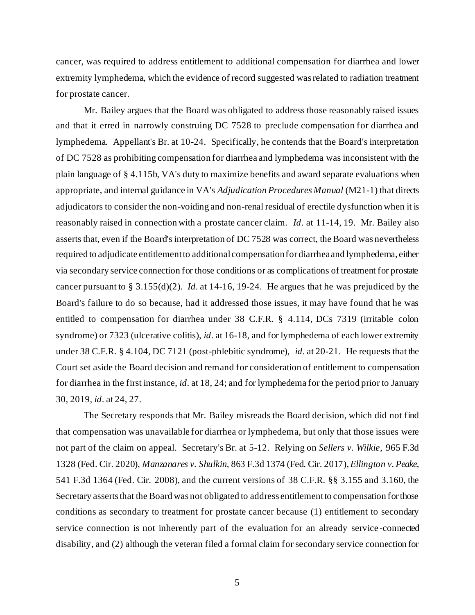cancer, was required to address entitlement to additional compensation for diarrhea and lower extremity lymphedema, which the evidence of record suggested was related to radiation treatment for prostate cancer.

Mr. Bailey argues that the Board was obligated to address those reasonably raised issues and that it erred in narrowly construing DC 7528 to preclude compensation for diarrhea and lymphedema. Appellant's Br. at 10-24. Specifically, he contends that the Board's interpretation of DC 7528 as prohibiting compensation for diarrhea and lymphedema was inconsistent with the plain language of § 4.115b, VA's duty to maximize benefits and award separate evaluations when appropriate, and internal guidance in VA's *Adjudication Procedures Manual* (M21-1) that directs adjudicators to consider the non-voiding and non-renal residual of erectile dysfunction when it is reasonably raised in connection with a prostate cancer claim. *Id*. at 11-14, 19. Mr. Bailey also asserts that, even if the Board's interpretation of DC 7528 was correct, the Board was nevertheless required to adjudicate entitlement to additional compensation for diarrhea and lymphedema, either via secondary service connection for those conditions or as complications of treatment for prostate cancer pursuant to § 3.155(d)(2). *Id*. at 14-16, 19-24. He argues that he was prejudiced by the Board's failure to do so because, had it addressed those issues, it may have found that he was entitled to compensation for diarrhea under 38 C.F.R. § 4.114, DCs 7319 (irritable colon syndrome) or 7323 (ulcerative colitis), *id*. at 16-18, and for lymphedema of each lower extremity under 38 C.F.R. § 4.104, DC 7121 (post-phlebitic syndrome), *id*. at 20-21. He requests that the Court set aside the Board decision and remand for consideration of entitlement to compensation for diarrhea in the first instance, *id*. at 18, 24; and for lymphedema for the period prior to January 30, 2019, *id*. at 24, 27.

The Secretary responds that Mr. Bailey misreads the Board decision, which did not find that compensation was unavailable for diarrhea or lymphedema, but only that those issues were not part of the claim on appeal. Secretary's Br. at 5-12. Relying on *Sellers v. Wilkie*, 965 F.3d 1328 (Fed. Cir. 2020), *Manzanares v. Shulkin*, 863 F.3d 1374 (Fed. Cir. 2017), *Ellington v. Peake*, 541 F.3d 1364 (Fed. Cir. 2008), and the current versions of 38 C.F.R. §§ 3.155 and 3.160, the Secretary asserts that the Board was not obligated to address entitlement to compensation for those conditions as secondary to treatment for prostate cancer because (1) entitlement to secondary service connection is not inherently part of the evaluation for an already service -connected disability, and (2) although the veteran filed a formal claim for secondary service connection for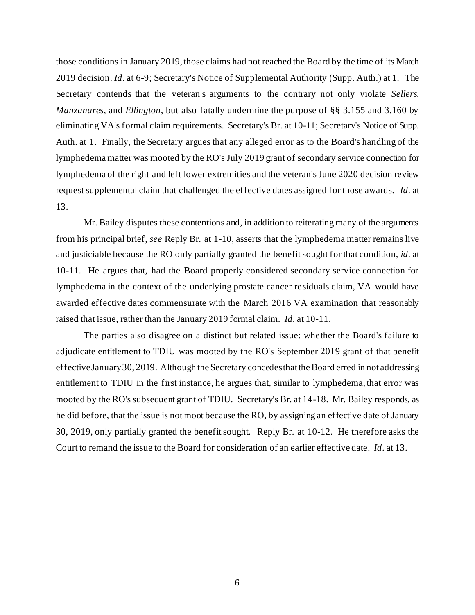those conditions in January 2019, those claims had not reached the Board by the time of its March 2019 decision. *Id*. at 6-9; Secretary's Notice of Supplemental Authority (Supp. Auth.) at 1. The Secretary contends that the veteran's arguments to the contrary not only violate *Sellers*, *Manzanares*, and *Ellington*, but also fatally undermine the purpose of §§ 3.155 and 3.160 by eliminating VA's formal claim requirements. Secretary's Br. at 10-11; Secretary's Notice of Supp. Auth. at 1. Finally, the Secretary argues that any alleged error as to the Board's handling of the lymphedema matter was mooted by the RO's July 2019 grant of secondary service connection for lymphedema of the right and left lower extremities and the veteran's June 2020 decision review request supplemental claim that challenged the effective dates assigned for those awards. *Id*. at 13.

Mr. Bailey disputes these contentions and, in addition to reiterating many of the arguments from his principal brief, *see* Reply Br. at 1-10, asserts that the lymphedema matter remains live and justiciable because the RO only partially granted the benefit sought for that condition, *id*. at 10-11. He argues that, had the Board properly considered secondary service connection for lymphedema in the context of the underlying prostate cancer residuals claim, VA would have awarded effective dates commensurate with the March 2016 VA examination that reasonably raised that issue, rather than the January 2019 formal claim. *Id*. at 10-11.

The parties also disagree on a distinct but related issue: whether the Board's failure to adjudicate entitlement to TDIU was mooted by the RO's September 2019 grant of that benefit effective January 30, 2019. Although the Secretary concedes that the Board erred in not addressing entitlement to TDIU in the first instance, he argues that, similar to lymphedema, that error was mooted by the RO's subsequent grant of TDIU. Secretary's Br. at 14-18. Mr. Bailey responds, as he did before, that the issue is not moot because the RO, by assigning an effective date of January 30, 2019, only partially granted the benefit sought. Reply Br. at 10-12. He therefore asks the Court to remand the issue to the Board for consideration of an earlier effective date. *Id*. at 13.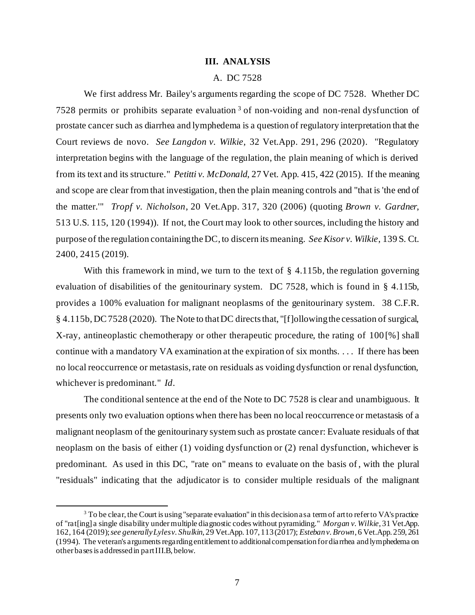### **III. ANALYSIS**

### A. DC 7528

We first address Mr. Bailey's arguments regarding the scope of DC 7528. Whether DC 7528 permits or prohibits separate evaluation <sup>3</sup> of non-voiding and non-renal dysfunction of prostate cancer such as diarrhea and lymphedema is a question of regulatory interpretation that the Court reviews de novo. *See Langdon v. Wilkie*, 32 Vet.App. 291, 296 (2020). "Regulatory interpretation begins with the language of the regulation, the plain meaning of which is derived from its text and its structure." *Petitti v. McDonald*, 27 Vet. App. 415, 422 (2015). If the meaning and scope are clear from that investigation, then the plain meaning controls and "that is 'the end of the matter.'" *Tropf v. Nicholson*, 20 Vet.App. 317, 320 (2006) (quoting *Brown v. Gardner*, 513 U.S. 115, 120 (1994)). If not, the Court may look to other sources, including the history and purpose of the regulation containing the DC, to discern its meaning. *See Kisor v. Wilkie*, 139 S. Ct. 2400, 2415 (2019).

With this framework in mind, we turn to the text of  $\S 4.115b$ , the regulation governing evaluation of disabilities of the genitourinary system. DC 7528, which is found in § 4.115b, provides a 100% evaluation for malignant neoplasms of the genitourinary system. 38 C.F.R. § 4.115b, DC 7528 (2020). The Note to that DC directs that, "[f]ollowing the cessation of surgical, X-ray, antineoplastic chemotherapy or other therapeutic procedure, the rating of 100 [%] shall continue with a mandatory VA examination at the expiration of six months. . . . If there has been no local reoccurrence or metastasis, rate on residuals as voiding dysfunction or renal dysfunction, whichever is predominant." *Id*.

The conditional sentence at the end of the Note to DC 7528 is clear and unambiguous. It presents only two evaluation options when there has been no local reoccurrence or metastasis of a malignant neoplasm of the genitourinary system such as prostate cancer: Evaluate residuals of that neoplasm on the basis of either (1) voiding dysfunction or (2) renal dysfunction, whichever is predominant. As used in this DC, "rate on" means to evaluate on the basis of, with the plural "residuals" indicating that the adjudicator is to consider multiple residuals of the malignant

 $3$  To be clear, the Court is using "separate evaluation" in this decision as a term of art to refer to VA's practice of "rat[ing] a single disability under multiple diagnostic codes without pyramiding." *Morgan v. Wilkie*, 31 Vet.App. 162, 164 (2019); *see generally Lyles v. Shulkin*, 29 Vet.App. 107, 113(2017); *Esteban v. Brown*, 6 Vet.App. 259, 261 (1994). The veteran's arguments regarding entitlement to additional compensation for diarrhea and lymphedema on other bases is addressed in part III.B, below.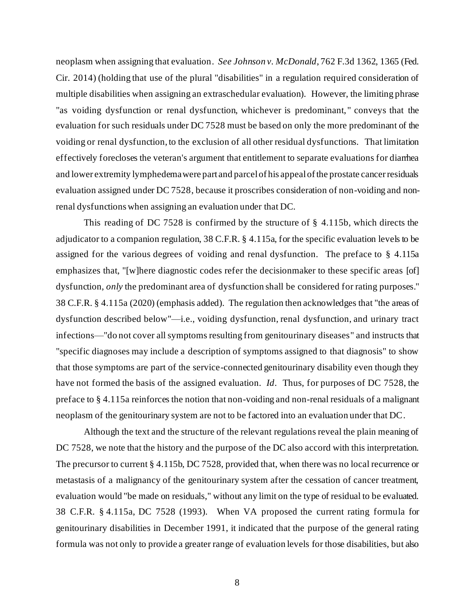neoplasm when assigning that evaluation. *See Johnson v. McDonald*, 762 F.3d 1362, 1365 (Fed. Cir. 2014) (holding that use of the plural "disabilities" in a regulation required consideration of multiple disabilities when assigning an extraschedular evaluation). However, the limiting phrase "as voiding dysfunction or renal dysfunction, whichever is predominant, " conveys that the evaluation for such residuals under DC 7528 must be based on only the more predominant of the voiding or renal dysfunction, to the exclusion of all other residual dysfunctions. That limitation effectively forecloses the veteran's argument that entitlement to separate evaluations for diarrhea and lower extremity lymphedema were part and parcel of his appeal of the prostate cancer residuals evaluation assigned under DC 7528, because it proscribes consideration of non-voiding and nonrenal dysfunctions when assigning an evaluation under that DC.

This reading of DC 7528 is confirmed by the structure of § 4.115b, which directs the adjudicator to a companion regulation, 38 C.F.R. § 4.115a, for the specific evaluation levels to be assigned for the various degrees of voiding and renal dysfunction. The preface to § 4.115a emphasizes that, "[w]here diagnostic codes refer the decisionmaker to these specific areas [of] dysfunction, *only* the predominant area of dysfunction shall be considered for rating purposes." 38 C.F.R. § 4.115a (2020) (emphasis added). The regulation then acknowledges that "the areas of dysfunction described below"—i.e., voiding dysfunction, renal dysfunction, and urinary tract infections—"do not cover all symptoms resulting from genitourinary diseases" and instructs that "specific diagnoses may include a description of symptoms assigned to that diagnosis" to show that those symptoms are part of the service-connected genitourinary disability even though they have not formed the basis of the assigned evaluation. *Id*. Thus, for purposes of DC 7528, the preface to § 4.115a reinforces the notion that non-voiding and non-renal residuals of a malignant neoplasm of the genitourinary system are not to be factored into an evaluation under that DC.

Although the text and the structure of the relevant regulations reveal the plain meaning of DC 7528, we note that the history and the purpose of the DC also accord with this interpretation. The precursor to current § 4.115b, DC 7528, provided that, when there was no local recurrence or metastasis of a malignancy of the genitourinary system after the cessation of cancer treatment, evaluation would "be made on residuals," without any limit on the type of residual to be evaluated. 38 C.F.R. § 4.115a, DC 7528 (1993). When VA proposed the current rating formula for genitourinary disabilities in December 1991, it indicated that the purpose of the general rating formula was not only to provide a greater range of evaluation levels for those disabilities, but also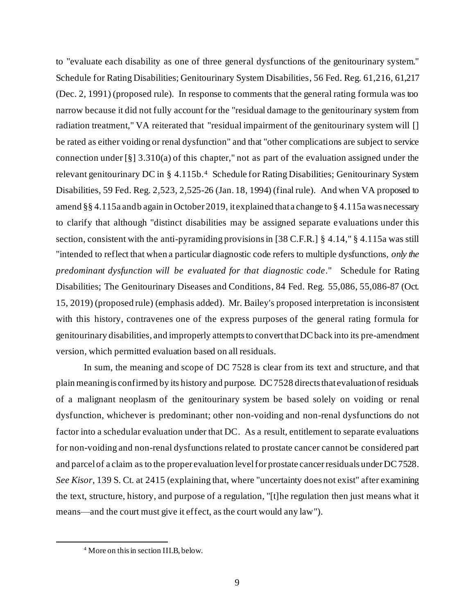to "evaluate each disability as one of three general dysfunctions of the genitourinary system." Schedule for Rating Disabilities; Genitourinary System Disabilities, 56 Fed. Reg. 61,216, 61,217 (Dec. 2, 1991) (proposed rule). In response to comments that the general rating formula was too narrow because it did not fully account for the "residual damage to the genitourinary system from radiation treatment," VA reiterated that "residual impairment of the genitourinary system will [] be rated as either voiding or renal dysfunction" and that "other complications are subject to service connection under [§] 3.310(a) of this chapter," not as part of the evaluation assigned under the relevant genitourinary DC in § 4.115b.<sup>4</sup> Schedule for Rating Disabilities; Genitourinary System Disabilities, 59 Fed. Reg. 2,523, 2,525-26 (Jan. 18, 1994) (final rule). And when VA proposed to amend §§ 4.115a and b again in October 2019, it explained that a change to § 4.115a was necessary to clarify that although "distinct disabilities may be assigned separate evaluations under this section, consistent with the anti-pyramiding provisions in [38 C.F.R.] § 4.14," § 4.115a was still "intended to reflect that when a particular diagnostic code refers to multiple dysfunctions, *only the predominant dysfunction will be evaluated for that diagnostic code*." Schedule for Rating Disabilities; The Genitourinary Diseases and Conditions, 84 Fed. Reg. 55,086, 55,086-87 (Oct. 15, 2019) (proposed rule) (emphasis added). Mr. Bailey's proposed interpretation is inconsistent with this history, contravenes one of the express purposes of the general rating formula for genitourinary disabilities, and improperly attempts to convert that DC back into its pre-amendment version, which permitted evaluation based on all residuals.

In sum, the meaning and scope of DC 7528 is clear from its text and structure, and that plain meaning is confirmed by its history and purpose. DC 7528 directs that evaluation of residuals of a malignant neoplasm of the genitourinary system be based solely on voiding or renal dysfunction, whichever is predominant; other non-voiding and non-renal dysfunctions do not factor into a schedular evaluation under that DC. As a result, entitlement to separate evaluations for non-voiding and non-renal dysfunctions related to prostate cancer cannot be considered part and parcel of a claim as to the proper evaluation level for prostate cancer residuals under DC 7528. *See Kisor*, 139 S. Ct. at 2415 (explaining that, where "uncertainty does not exist" after examining the text, structure, history, and purpose of a regulation, "[t]he regulation then just means what it means—and the court must give it effect, as the court would any law").

<sup>4</sup> More on this in section III.B, below.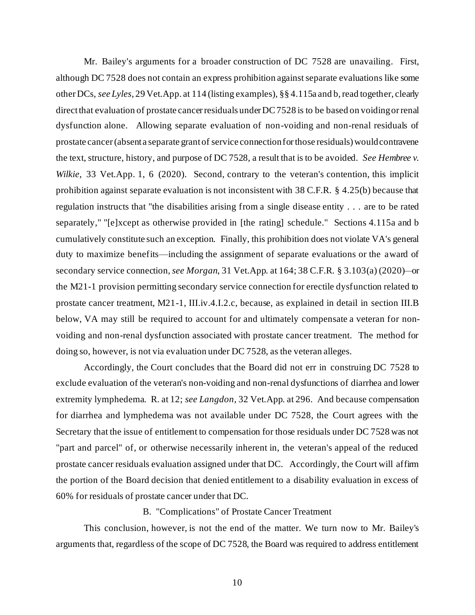Mr. Bailey's arguments for a broader construction of DC 7528 are unavailing. First, although DC 7528 does not contain an express prohibition against separate evaluations like some other DCs, *see Lyles*, 29 Vet.App. at 114 (listing examples), §§ 4.115a and b, read together, clearly directthat evaluation of prostate cancer residuals under DC 7528 is to be based on voiding or renal dysfunction alone. Allowing separate evaluation of non-voiding and non-renal residuals of prostate cancer (absent a separate grant of service connection for those residuals) would contravene the text, structure, history, and purpose of DC 7528, a result that is to be avoided. *See Hembree v. Wilkie*, 33 Vet.App. 1, 6 (2020). Second, contrary to the veteran's contention, this implicit prohibition against separate evaluation is not inconsistent with 38 C.F.R. § 4.25(b) because that regulation instructs that "the disabilities arising from a single disease entity . . . are to be rated separately," "[e]xcept as otherwise provided in [the rating] schedule." Sections 4.115a and b cumulatively constitute such an exception. Finally, this prohibition does not violate VA's general duty to maximize benefits—including the assignment of separate evaluations or the award of secondary service connection, *see Morgan*, 31 Vet.App. at 164; 38 C.F.R. § 3.103(a) (2020)*—*or the M21-1 provision permitting secondary service connection for erectile dysfunction related to prostate cancer treatment, M21-1, III.iv.4.I.2.c, because, as explained in detail in section III.B below, VA may still be required to account for and ultimately compensate a veteran for nonvoiding and non-renal dysfunction associated with prostate cancer treatment. The method for doing so, however, is not via evaluation under DC 7528, as the veteran alleges.

Accordingly, the Court concludes that the Board did not err in construing DC 7528 to exclude evaluation of the veteran's non-voiding and non-renal dysfunctions of diarrhea and lower extremity lymphedema. R. at 12; *see Langdon*, 32 Vet.App. at 296. And because compensation for diarrhea and lymphedema was not available under DC 7528, the Court agrees with the Secretary that the issue of entitlement to compensation for those residuals under DC 7528 was not "part and parcel" of, or otherwise necessarily inherent in, the veteran's appeal of the reduced prostate cancer residuals evaluation assigned under that DC. Accordingly, the Court will affirm the portion of the Board decision that denied entitlement to a disability evaluation in excess of 60% for residuals of prostate cancer under that DC.

#### B. "Complications" of Prostate Cancer Treatment

This conclusion, however, is not the end of the matter. We turn now to Mr. Bailey's arguments that, regardless of the scope of DC 7528, the Board was required to address entitlement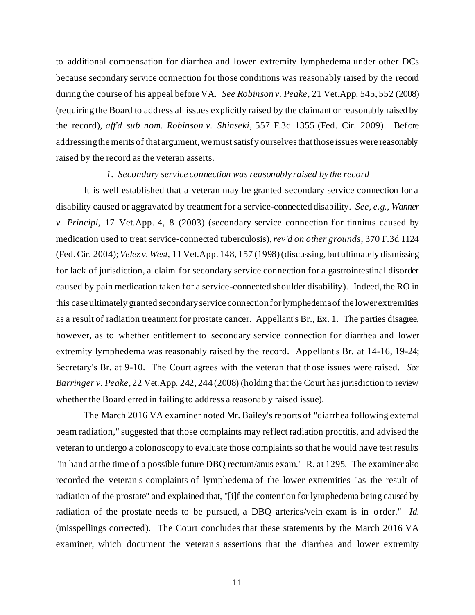to additional compensation for diarrhea and lower extremity lymphedema under other DCs because secondary service connection for those conditions was reasonably raised by the record during the course of his appeal before VA. *See Robinson v. Peake*, 21 Vet.App. 545, 552 (2008) (requiring the Board to address all issues explicitly raised by the claimant or reasonably raised by the record), *aff'd sub nom. Robinson v. Shinseki*, 557 F.3d 1355 (Fed. Cir. 2009). Before addressing the merits of that argument, we must satisfy ourselves that those issues were reasonably raised by the record as the veteran asserts.

#### *1. Secondary service connection was reasonably raised by the record*

It is well established that a veteran may be granted secondary service connection for a disability caused or aggravated by treatment for a service-connected disability. *See, e.g.*, *Wanner v. Principi*, 17 Vet.App. 4, 8 (2003) (secondary service connection for tinnitus caused by medication used to treat service-connected tuberculosis), *rev'd on other grounds*, 370 F.3d 1124 (Fed.Cir. 2004); *Velez v. West*, 11 Vet.App. 148, 157 (1998) (discussing, but ultimately dismissing for lack of jurisdiction, a claim for secondary service connection for a gastrointestinal disorder caused by pain medication taken for a service-connected shoulder disability). Indeed, the RO in this case ultimately granted secondary service connection for lymphedema of the lower extremities as a result of radiation treatment for prostate cancer. Appellant's Br., Ex. 1. The parties disagree, however, as to whether entitlement to secondary service connection for diarrhea and lower extremity lymphedema was reasonably raised by the record. Appellant's Br. at 14-16, 19-24; Secretary's Br. at 9-10. The Court agrees with the veteran that those issues were raised. *See Barringer v. Peake*, 22 Vet.App. 242, 244 (2008) (holding that the Court has jurisdiction to review whether the Board erred in failing to address a reasonably raised issue).

The March 2016 VA examiner noted Mr. Bailey's reports of "diarrhea following external beam radiation," suggested that those complaints may reflect radiation proctitis, and advised the veteran to undergo a colonoscopy to evaluate those complaints so that he would have test results "in hand at the time of a possible future DBQ rectum/anus exam." R. at 1295. The examiner also recorded the veteran's complaints of lymphedema of the lower extremities "as the result of radiation of the prostate" and explained that, "[i]f the contention for lymphedema being caused by radiation of the prostate needs to be pursued, a DBQ arteries/vein exam is in order." *Id*. (misspellings corrected). The Court concludes that these statements by the March 2016 VA examiner, which document the veteran's assertions that the diarrhea and lower extremity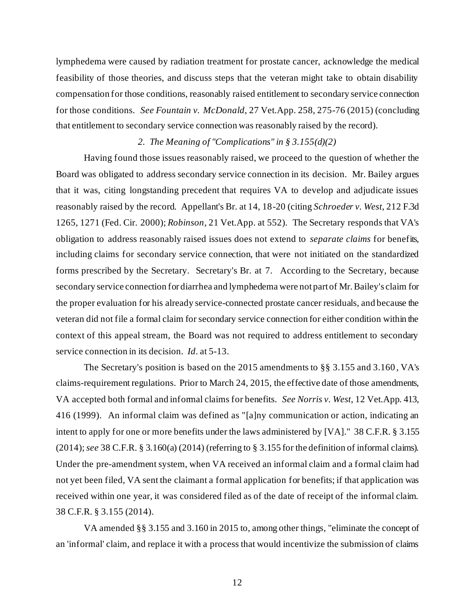lymphedema were caused by radiation treatment for prostate cancer, acknowledge the medical feasibility of those theories, and discuss steps that the veteran might take to obtain disability compensation for those conditions, reasonably raised entitlement to secondary service connection for those conditions. *See Fountain v. McDonald*, 27 Vet.App. 258, 275-76 (2015) (concluding that entitlement to secondary service connection was reasonably raised by the record).

## *2. The Meaning of "Complications" in § 3.155(d)(2)*

Having found those issues reasonably raised, we proceed to the question of whether the Board was obligated to address secondary service connection in its decision. Mr. Bailey argues that it was, citing longstanding precedent that requires VA to develop and adjudicate issues reasonably raised by the record. Appellant's Br. at 14, 18-20 (citing *Schroeder v. West*, 212 F.3d 1265, 1271 (Fed. Cir. 2000); *Robinson*, 21 Vet.App. at 552). The Secretary responds that VA's obligation to address reasonably raised issues does not extend to *separate claims* for benefits, including claims for secondary service connection, that were not initiated on the standardized forms prescribed by the Secretary. Secretary's Br. at 7. According to the Secretary, because secondary service connection for diarrhea and lymphedema were not part of Mr. Bailey's claim for the proper evaluation for his already service-connected prostate cancer residuals, and because the veteran did not file a formal claim for secondary service connection for either condition within the context of this appeal stream, the Board was not required to address entitlement to secondary service connection in its decision. *Id*. at 5-13.

The Secretary's position is based on the 2015 amendments to §§ 3.155 and 3.160 , VA's claims-requirement regulations. Prior to March 24, 2015, the effective date of those amendments, VA accepted both formal and informal claims for benefits. *See Norris v. West*, 12 Vet.App. 413, 416 (1999). An informal claim was defined as "[a]ny communication or action, indicating an intent to apply for one or more benefits under the laws administered by [VA]." 38 C.F.R. § 3.155 (2014); *see* 38 C.F.R. § 3.160(a) (2014) (referring to § 3.155 for the definition of informal claims). Under the pre-amendment system, when VA received an informal claim and a formal claim had not yet been filed, VA sent the claimant a formal application for benefits; if that application was received within one year, it was considered filed as of the date of receipt of the informal claim. 38 C.F.R. § 3.155 (2014).

VA amended §§ 3.155 and 3.160 in 2015 to, among other things, "eliminate the concept of an 'informal' claim, and replace it with a process that would incentivize the submission of claims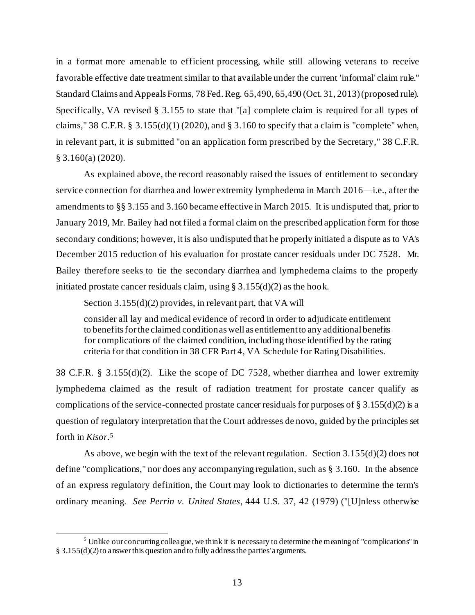in a format more amenable to efficient processing, while still allowing veterans to receive favorable effective date treatment similar to that available under the current 'informal' claim rule." Standard Claims and Appeals Forms, 78 Fed. Reg. 65,490, 65,490 (Oct. 31, 2013) (proposed rule). Specifically, VA revised § 3.155 to state that "[a] complete claim is required for all types of claims," 38 C.F.R. § 3.155(d)(1) (2020), and § 3.160 to specify that a claim is "complete" when, in relevant part, it is submitted "on an application form prescribed by the Secretary," 38 C.F.R. § 3.160(a) (2020).

As explained above, the record reasonably raised the issues of entitlement to secondary service connection for diarrhea and lower extremity lymphedema in March 2016—i.e., after the amendments to §§ 3.155 and 3.160 became effective in March 2015. It is undisputed that, prior to January 2019, Mr. Bailey had not filed a formal claim on the prescribed application form for those secondary conditions; however, it is also undisputed that he properly initiated a dispute as to VA's December 2015 reduction of his evaluation for prostate cancer residuals under DC 7528. Mr. Bailey therefore seeks to tie the secondary diarrhea and lymphedema claims to the properly initiated prostate cancer residuals claim, using  $\S 3.155(d)(2)$  as the hook.

Section 3.155(d)(2) provides, in relevant part, that VA will

consider all lay and medical evidence of record in order to adjudicate entitlement to benefits for the claimed condition as well as entitlement to any additional benefits for complications of the claimed condition, including those identified by the rating criteria for that condition in 38 CFR Part 4, VA Schedule for Rating Disabilities.

38 C.F.R. § 3.155(d)(2). Like the scope of DC 7528, whether diarrhea and lower extremity lymphedema claimed as the result of radiation treatment for prostate cancer qualify as complications of the service-connected prostate cancer residuals for purposes of § 3.155(d)(2) is a question of regulatory interpretation that the Court addresses de novo, guided by the principles set forth in *Kisor*. 5

As above, we begin with the text of the relevant regulation. Section  $3.155(d)(2)$  does not define "complications," nor does any accompanying regulation, such as § 3.160. In the absence of an express regulatory definition, the Court may look to dictionaries to determine the term's ordinary meaning. *See Perrin v. United States*, 444 U.S. 37, 42 (1979) ("[U]nless otherwise

<sup>&</sup>lt;sup>5</sup> Unlike our concurring colleague, we think it is necessary to determine the meaning of "complications" in § 3.155(d)(2) to answer this question and to fully address the parties' arguments.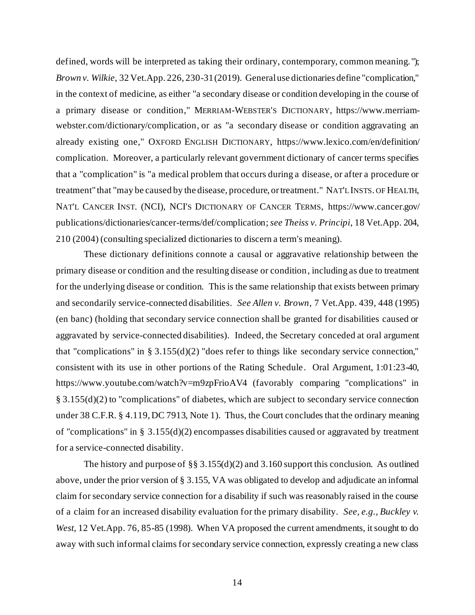defined, words will be interpreted as taking their ordinary, contemporary, common meaning. "); *Brown v. Wilkie*, 32 Vet.App. 226, 230-31 (2019). General use dictionaries define "complication," in the context of medicine, as either "a secondary disease or condition developing in the course of a primary disease or condition," MERRIAM-WEBSTER'S DICTIONARY, https://www.merriamwebster.com/dictionary/complication, or as "a secondary disease or condition aggravating an already existing one," OXFORD ENGLISH DICTIONARY, https://www.lexico.com/en/definition/ complication. Moreover, a particularly relevant government dictionary of cancer terms specifies that a "complication" is "a medical problem that occurs during a disease, or after a procedure or treatment" that "may be caused by the disease, procedure, or treatment." NAT'L INSTS. OF HEALTH, NAT'L CANCER INST. (NCI), NCI'S DICTIONARY OF CANCER TERMS, https://www.cancer.gov/ publications/dictionaries/cancer-terms/def/complication; *see Theiss v. Principi*, 18 Vet.App. 204, 210 (2004) (consulting specialized dictionaries to discern a term's meaning).

These dictionary definitions connote a causal or aggravative relationship between the primary disease or condition and the resulting disease or condition, including as due to treatment for the underlying disease or condition. This is the same relationship that exists between primary and secondarily service-connected disabilities. *See Allen v. Brown*, 7 Vet.App. 439, 448 (1995) (en banc) (holding that secondary service connection shall be granted for disabilities caused or aggravated by service-connected disabilities). Indeed, the Secretary conceded at oral argument that "complications" in § 3.155(d)(2) "does refer to things like secondary service connection," consistent with its use in other portions of the Rating Schedule. Oral Argument, 1:01:23-40, https://www.youtube.com/watch?v=m9zpFrioAV4 (favorably comparing "complications" in § 3.155(d)(2) to "complications" of diabetes, which are subject to secondary service connection under 38 C.F.R. § 4.119, DC 7913, Note 1). Thus, the Court concludes that the ordinary meaning of "complications" in § 3.155(d)(2) encompasses disabilities caused or aggravated by treatment for a service-connected disability.

The history and purpose of §§ 3.155(d)(2) and 3.160 support this conclusion. As outlined above, under the prior version of § 3.155, VA was obligated to develop and adjudicate an informal claim for secondary service connection for a disability if such was reasonably raised in the course of a claim for an increased disability evaluation for the primary disability. *See, e.g., Buckley v. West*, 12 Vet.App. 76, 85-85 (1998). When VA proposed the current amendments, it sought to do away with such informal claims for secondary service connection, expressly creating a new class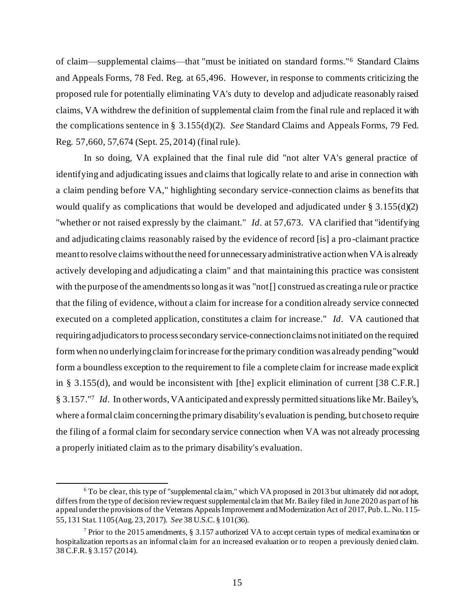of claim—supplemental claims—that "must be initiated on standard forms."<sup>6</sup> Standard Claims and Appeals Forms, 78 Fed. Reg. at 65,496. However, in response to comments criticizing the proposed rule for potentially eliminating VA's duty to develop and adjudicate reasonably raised claims, VA withdrew the definition of supplemental claim from the final rule and replaced it with the complications sentence in § 3.155(d)(2). *See* Standard Claims and Appeals Forms, 79 Fed. Reg. 57,660, 57,674 (Sept. 25, 2014) (final rule).

In so doing, VA explained that the final rule did "not alter VA's general practice of identifying and adjudicating issues and claims that logically relate to and arise in connection with a claim pending before VA," highlighting secondary service-connection claims as benefits that would qualify as complications that would be developed and adjudicated under  $\S 3.155(d)(2)$ "whether or not raised expressly by the claimant." *Id*. at 57,673. VA clarified that "identifying and adjudicating claims reasonably raised by the evidence of record [is] a pro-claimant practice meant to resolve claims without the need for unnecessary administrative action when VA is already actively developing and adjudicating a claim" and that maintaining this practice was consistent with the purpose of the amendments so long as it was "not [] construed as creating a rule or practice that the filing of evidence, without a claim for increase for a condition already service connected executed on a completed application, constitutes a claim for increase." *Id*. VA cautioned that requiring adjudicators to process secondary service-connection claims not initiated on the required form when no underlying claim for increase for the primary condition was already pending "would form a boundless exception to the requirement to file a complete claim for increase made explicit in § 3.155(d), and would be inconsistent with [the] explicit elimination of current [38 C.F.R.] § 3.157."<sup>7</sup> *Id*. In other words, VA anticipated and expressly permitted situations like Mr. Bailey's, where a formal claim concerning the primary disability's evaluation is pending, but chose to require the filing of a formal claim for secondary service connection when VA was not already processing a properly initiated claim as to the primary disability's evaluation.

<sup>6</sup> To be clear, this type of "supplemental claim," which VA proposed in 2013 but ultimately did not adopt, differs from the type of decision review request supplemental claim that Mr. Bailey filed in June 2020 as part of his appeal under the provisions of the Veterans Appeals Improvement and Modernization Act of 2017, Pub. L. No. 115- 55, 131 Stat. 1105 (Aug. 23, 2017). *See* 38 U.S.C. § 101(36).

<sup>&</sup>lt;sup>7</sup> Prior to the 2015 amendments, § 3.157 authorized VA to accept certain types of medical examination or hospitalization reports as an informal claim for an increased evaluation or to reopen a previously denied claim. 38 C.F.R. § 3.157 (2014).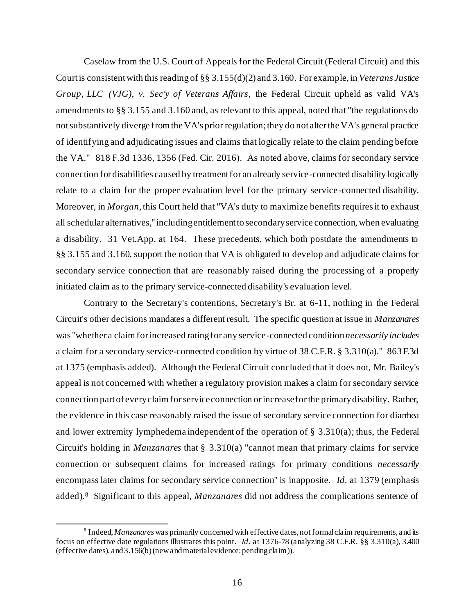Caselaw from the U.S. Court of Appeals for the Federal Circuit (Federal Circuit) and this Court is consistent with this reading of §§ 3.155(d)(2) and 3.160. For example, in *Veterans Justice Group, LLC (VJG), v. Sec'y of Veterans Affairs*, the Federal Circuit upheld as valid VA's amendments to §§ 3.155 and 3.160 and, as relevant to this appeal, noted that "the regulations do not substantively diverge from the VA's prior regulation; they do not alter the VA's general practice of identifying and adjudicating issues and claims that logically relate to the claim pending before the VA." 818 F.3d 1336, 1356 (Fed. Cir. 2016). As noted above, claims for secondary service connection for disabilities caused by treatment for an already service-connected disability logically relate to a claim for the proper evaluation level for the primary service-connected disability. Moreover, in *Morgan*, this Court held that "VA's duty to maximize benefits requires it to exhaust all schedular alternatives," including entitlement to secondary service connection, when evaluating a disability. 31 Vet.App. at 164. These precedents, which both postdate the amendments to §§ 3.155 and 3.160, support the notion that VA is obligated to develop and adjudicate claims for secondary service connection that are reasonably raised during the processing of a properly initiated claim as to the primary service-connected disability's evaluation level.

Contrary to the Secretary's contentions, Secretary's Br. at 6-11, nothing in the Federal Circuit's other decisions mandates a different result. The specific question at issue in *Manzanares* was "whether a claim for increased rating for any service-connected condition *necessarily includes* a claim for a secondary service-connected condition by virtue of 38 C.F.R. § 3.310(a)." 863 F.3d at 1375 (emphasis added). Although the Federal Circuit concluded that it does not, Mr. Bailey's appeal is not concerned with whether a regulatory provision makes a claim for secondary service connection part of every claim for service connection or increase for the primary disability. Rather, the evidence in this case reasonably raised the issue of secondary service connection for diarrhea and lower extremity lymphedema independent of the operation of § 3.310(a); thus, the Federal Circuit's holding in *Manzanares* that § 3.310(a) "cannot mean that primary claims for service connection or subsequent claims for increased ratings for primary conditions *necessarily* encompass later claims for secondary service connection" is inapposite. *Id*. at 1379 (emphasis added).<sup>8</sup> Significant to this appeal, *Manzanares* did not address the complications sentence of

<sup>&</sup>lt;sup>8</sup> Indeed, *Manzanares* was primarily concerned with effective dates, not formal claim requirements, and its focus on effective date regulations illustrates this point. *Id*. at 1376-78 (analyzing 38 C.F.R. §§ 3.310(a), 3.400 (effective dates), and 3.156(b) (new and material evidence: pending claim)).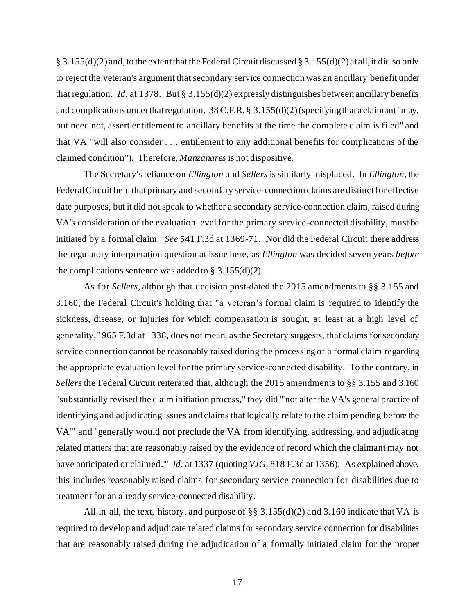§ 3.155(d)(2) and, to the extent that the Federal Circuit discussed § 3.155(d)(2) at all, it did so only to reject the veteran's argument that secondary service connection was an ancillary benefit under that regulation. *Id*. at 1378. But § 3.155(d)(2) expressly distinguishes between ancillary benefits and complications under that regulation. 38 C.F.R. § 3.155(d)(2) (specifying that a claimant "may, but need not, assert entitlement to ancillary benefits at the time the complete claim is filed" and that VA "will also consider . . . entitlement to any additional benefits for complications of the claimed condition"). Therefore, *Manzanares* is not dispositive.

The Secretary's reliance on *Ellington* and *Sellers* is similarly misplaced. In *Ellington*, the Federal Circuit held that primary and secondary service-connection claims are distinct for effective date purposes, but it did not speak to whether a secondary service-connection claim, raised during VA's consideration of the evaluation level for the primary service-connected disability, must be initiated by a formal claim. *See* 541 F.3d at 1369-71. Nor did the Federal Circuit there address the regulatory interpretation question at issue here, as *Ellington* was decided seven years *before* the complications sentence was added to  $\S$  3.155(d)(2).

As for *Sellers*, although that decision post-dated the 2015 amendments to §§ 3.155 and 3.160, the Federal Circuit's holding that "a veteran's formal claim is required to identify the sickness, disease, or injuries for which compensation is sought, at least at a high level of generality," 965 F.3d at 1338, does not mean, as the Secretary suggests, that claims for secondary service connection cannot be reasonably raised during the processing of a formal claim regarding the appropriate evaluation level for the primary service-connected disability. To the contrary, in *Sellers* the Federal Circuit reiterated that, although the 2015 amendments to §§ 3.155 and 3.160 "substantially revised the claim initiation process," they did "'not alter the VA's general practice of identifying and adjudicating issues and claims that logically relate to the claim pending before the VA'" and "generally would not preclude the VA from identifying, addressing, and adjudicating related matters that are reasonably raised by the evidence of record which the claimant may not have anticipated or claimed.'" *Id*. at 1337 (quoting *VJG*, 818 F.3d at 1356). As explained above, this includes reasonably raised claims for secondary service connection for disabilities due to treatment for an already service-connected disability.

All in all, the text, history, and purpose of  $\S$ § 3.155(d)(2) and 3.160 indicate that VA is required to develop and adjudicate related claims for secondary service connection for disabilities that are reasonably raised during the adjudication of a formally initiated claim for the proper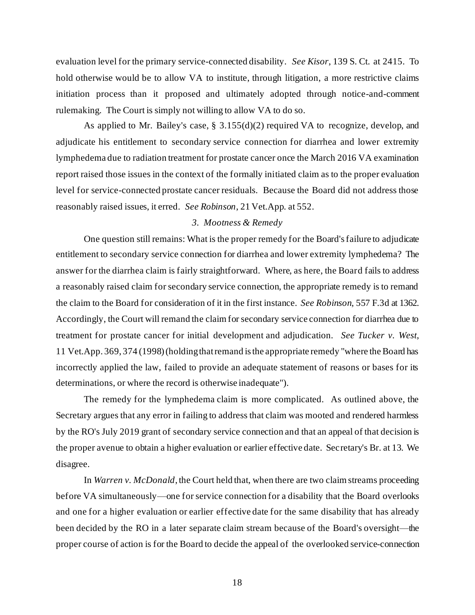evaluation level for the primary service-connected disability. *See Kisor*, 139 S. Ct. at 2415. To hold otherwise would be to allow VA to institute, through litigation, a more restrictive claims initiation process than it proposed and ultimately adopted through notice-and-comment rulemaking. The Court is simply not willing to allow VA to do so.

As applied to Mr. Bailey's case, § 3.155(d)(2) required VA to recognize, develop, and adjudicate his entitlement to secondary service connection for diarrhea and lower extremity lymphedema due to radiation treatment for prostate cancer once the March 2016 VA examination report raised those issues in the context of the formally initiated claim as to the proper evaluation level for service-connected prostate cancer residuals. Because the Board did not address those reasonably raised issues, it erred. *See Robinson*, 21 Vet.App. at 552.

# *3. Mootness & Remedy*

One question still remains: What is the proper remedy for the Board's failure to adjudicate entitlement to secondary service connection for diarrhea and lower extremity lymphedema? The answer for the diarrhea claim is fairly straightforward. Where, as here, the Board fails to address a reasonably raised claim for secondary service connection, the appropriate remedy is to remand the claim to the Board for consideration of it in the first instance. *See Robinson*, 557 F.3d at 1362. Accordingly, the Court will remand the claim for secondary service connection for diarrhea due to treatment for prostate cancer for initial development and adjudication. *See Tucker v. West*, 11 Vet.App. 369, 374 (1998) (holding that remand is the appropriate remedy "where the Board has incorrectly applied the law, failed to provide an adequate statement of reasons or bases for its determinations, or where the record is otherwise inadequate").

The remedy for the lymphedema claim is more complicated. As outlined above, the Secretary argues that any error in failing to address that claim was mooted and rendered harmless by the RO's July 2019 grant of secondary service connection and that an appeal of that decision is the proper avenue to obtain a higher evaluation or earlier effective date. Secretary's Br. at 13. We disagree.

In *Warren v. McDonald*, the Court held that, when there are two claim streams proceeding before VA simultaneously—one for service connection for a disability that the Board overlooks and one for a higher evaluation or earlier effective date for the same disability that has already been decided by the RO in a later separate claim stream because of the Board's oversight—the proper course of action is for the Board to decide the appeal of the overlooked service-connection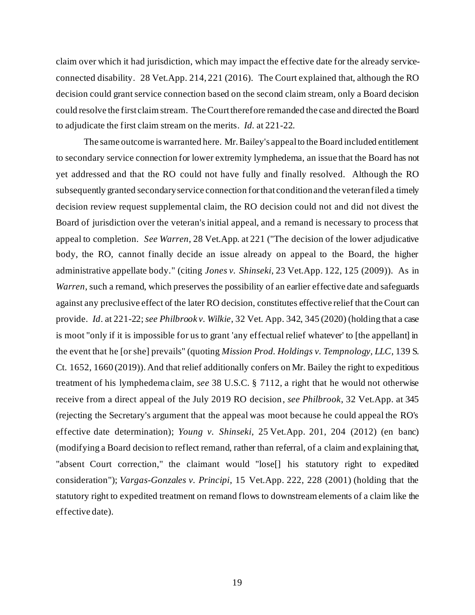claim over which it had jurisdiction, which may impact the effective date for the already serviceconnected disability. 28 Vet.App. 214, 221 (2016). The Court explained that, although the RO decision could grant service connection based on the second claim stream, only a Board decision could resolve the first claim stream. The Courttherefore remanded the case and directed the Board to adjudicate the first claim stream on the merits. *Id.* at 221-22.

The same outcome is warranted here. Mr. Bailey's appeal to the Board included entitlement to secondary service connection for lower extremity lymphedema, an issue that the Board has not yet addressed and that the RO could not have fully and finally resolved. Although the RO subsequently granted secondary service connection for that condition and the veteran filed a timely decision review request supplemental claim, the RO decision could not and did not divest the Board of jurisdiction over the veteran's initial appeal, and a remand is necessary to process that appeal to completion. *See Warren*, 28 Vet.App. at 221 ("The decision of the lower adjudicative body, the RO, cannot finally decide an issue already on appeal to the Board, the higher administrative appellate body." (citing *Jones v. Shinseki*, 23 Vet.App. 122, 125 (2009)). As in *Warren*, such a remand, which preserves the possibility of an earlier effective date and safeguards against any preclusive effect of the later RO decision, constitutes effective relief that the Court can provide. *Id*. at 221-22; *see Philbrook v. Wilkie*, 32 Vet. App. 342, 345 (2020) (holding that a case is moot "only if it is impossible for us to grant 'any effectual relief whatever' to [the appellant] in the event that he [or she] prevails" (quoting *Mission Prod. Holdings v. Tempnology, LLC*, 139 S. Ct. 1652, 1660 (2019)). And that relief additionally confers on Mr. Bailey the right to expeditious treatment of his lymphedema claim, *see* 38 U.S.C. § 7112, a right that he would not otherwise receive from a direct appeal of the July 2019 RO decision, *see Philbrook*, 32 Vet.App. at 345 (rejecting the Secretary's argument that the appeal was moot because he could appeal the RO's effective date determination); *Young v. Shinseki*, 25 Vet.App. 201, 204 (2012) (en banc) (modifying a Board decision to reflect remand, rather than referral, of a claim and explaining that, "absent Court correction," the claimant would "lose[] his statutory right to expedited consideration"); *Vargas-Gonzales v. Principi*, 15 Vet.App. 222, 228 (2001) (holding that the statutory right to expedited treatment on remand flows to downstream elements of a claim like the effective date).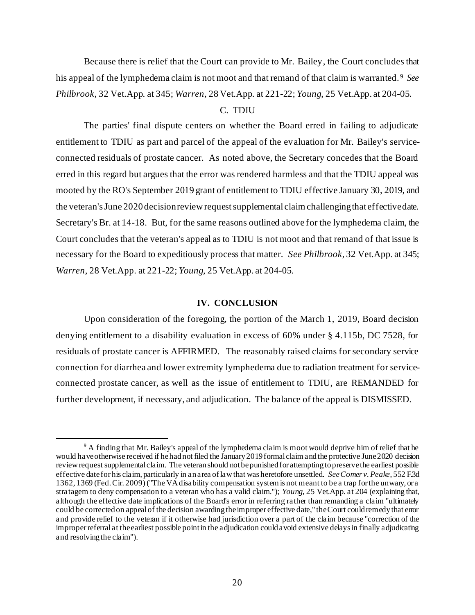Because there is relief that the Court can provide to Mr. Bailey, the Court concludes that his appeal of the lymphedema claim is not moot and that remand of that claim is warranted. <sup>9</sup> *See Philbrook*, 32 Vet.App. at 345; *Warren*, 28 Vet.App. at 221-22; *Young*, 25 Vet.App. at 204-05.

### C. TDIU

The parties' final dispute centers on whether the Board erred in failing to adjudicate entitlement to TDIU as part and parcel of the appeal of the evaluation for Mr. Bailey's serviceconnected residuals of prostate cancer. As noted above, the Secretary concedes that the Board erred in this regard but argues that the error was rendered harmless and that the TDIU appeal was mooted by the RO's September 2019 grant of entitlement to TDIU effective January 30, 2019, and the veteran's June 2020 decision review request supplemental claim challenging that effective date. Secretary's Br. at 14-18. But, for the same reasons outlined above for the lymphedema claim, the Court concludes that the veteran's appeal as to TDIU is not moot and that remand of that issue is necessary for the Board to expeditiously process that matter. *See Philbrook*, 32 Vet.App. at 345; *Warren*, 28 Vet.App. at 221-22; *Young*, 25 Vet.App. at 204-05.

#### **IV. CONCLUSION**

Upon consideration of the foregoing, the portion of the March 1, 2019, Board decision denying entitlement to a disability evaluation in excess of 60% under § 4.115b, DC 7528, for residuals of prostate cancer is AFFIRMED. The reasonably raised claims for secondary service connection for diarrhea and lower extremity lymphedema due to radiation treatment for serviceconnected prostate cancer, as well as the issue of entitlement to TDIU, are REMANDED for further development, if necessary, and adjudication. The balance of the appeal is DISMISSED.

<sup>&</sup>lt;sup>9</sup> A finding that Mr. Bailey's appeal of the lymphedema claim is moot would deprive him of relief that he would have otherwise received if he had not filed the January 2019 formal claim and the protective June 2020 decision review request supplemental claim. The veteran should not be punished for attempting to preserve the earliest possible effective date for his claim, particularly in an area of law that was heretofore unsettled. *See Comer v. Peake*, 552 F.3d 1362, 1369 (Fed. Cir. 2009)("The VA disability compensation system is not meant to be a trap for the unwary, or a stratagem to deny compensation to a veteran who has a valid claim."); *Young*, 25 Vet.App. at 204 (explaining that, although the effective date implications of the Board's error in referring rather than remanding a claim "ultimately could be corrected on appeal of the decision awarding the improper effective date," the Court could remedy that error and provide relief to the veteran if it otherwise had jurisdiction over a part of the claim because "correction of the improper referral at the earliest possible point in the adjudication could avoid extensive delays in finally adjudicating and resolving the claim").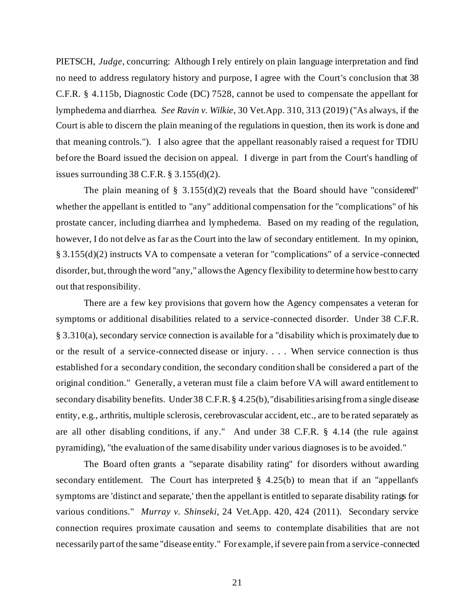PIETSCH, *Judge*, concurring: Although I rely entirely on plain language interpretation and find no need to address regulatory history and purpose, I agree with the Court's conclusion that 38 C.F.R. § 4.115b, Diagnostic Code (DC) 7528, cannot be used to compensate the appellant for lymphedema and diarrhea. *See Ravin v. Wilkie*, 30 Vet.App. 310, 313 (2019) ("As always, if the Court is able to discern the plain meaning of the regulations in question, then its work is done and that meaning controls."). I also agree that the appellant reasonably raised a request for TDIU before the Board issued the decision on appeal. I diverge in part from the Court's handling of issues surrounding 38 C.F.R. § 3.155(d)(2).

The plain meaning of  $\S$  3.155(d)(2) reveals that the Board should have "considered" whether the appellant is entitled to "any" additional compensation for the "complications" of his prostate cancer, including diarrhea and lymphedema. Based on my reading of the regulation, however, I do not delve as far as the Court into the law of secondary entitlement. In my opinion, § 3.155(d)(2) instructs VA to compensate a veteran for "complications" of a service -connected disorder, but, through the word "any," allows the Agency flexibility to determine how best to carry out that responsibility.

There are a few key provisions that govern how the Agency compensates a veteran for symptoms or additional disabilities related to a service-connected disorder. Under 38 C.F.R. § 3.310(a), secondary service connection is available for a "disability which is proximately due to or the result of a service-connected disease or injury. . . . When service connection is thus established for a secondary condition, the secondary condition shall be considered a part of the original condition." Generally, a veteran must file a claim before VA will award entitlement to secondary disability benefits. Under 38 C.F.R. § 4.25(b), "disabilities arising from a single disease entity, e.g., arthritis, multiple sclerosis, cerebrovascular accident, etc., are to be rated separately as are all other disabling conditions, if any." And under 38 C.F.R. § 4.14 (the rule against pyramiding), "the evaluation of the same disability under various diagnoses is to be avoided."

The Board often grants a "separate disability rating" for disorders without awarding secondary entitlement. The Court has interpreted  $\S$  4.25(b) to mean that if an "appellant's symptoms are 'distinct and separate,' then the appellant is entitled to separate disability ratings for various conditions." *Murray v. Shinseki*, 24 Vet.App. 420, 424 (2011). Secondary service connection requires proximate causation and seems to contemplate disabilities that are not necessarily part of the same "disease entity." For example, if severe pain from a service -connected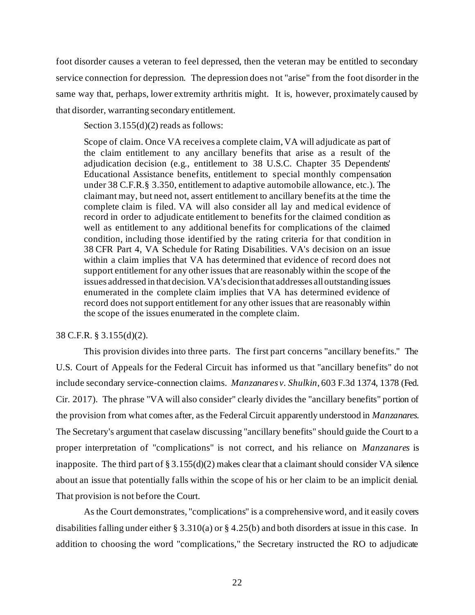foot disorder causes a veteran to feel depressed, then the veteran may be entitled to secondary service connection for depression. The depression does not "arise" from the foot disorder in the same way that, perhaps, lower extremity arthritis might. It is, however, proximately caused by that disorder, warranting secondary entitlement.

Section 3.155(d)(2) reads as follows:

Scope of claim. Once VA receives a complete claim, VA will adjudicate as part of the claim entitlement to any ancillary benefits that arise as a result of the adjudication decision (e.g., entitlement to 38 U.S.C. Chapter 35 Dependents' Educational Assistance benefits, entitlement to special monthly compensation under 38 C.F.R.§ 3.350, entitlement to adaptive automobile allowance, etc.). The claimant may, but need not, assert entitlement to ancillary benefits at the time the complete claim is filed. VA will also consider all lay and medical evidence of record in order to adjudicate entitlement to benefits for the claimed condition as well as entitlement to any additional benefits for complications of the claimed condition, including those identified by the rating criteria for that condition in 38 CFR Part 4, VA Schedule for Rating Disabilities. VA's decision on an issue within a claim implies that VA has determined that evidence of record does not support entitlement for any other issues that are reasonably within the scope of the issues addressed in that decision. VA's decision that addresses all outstanding issues enumerated in the complete claim implies that VA has determined evidence of record does not support entitlement for any other issues that are reasonably within the scope of the issues enumerated in the complete claim.

# 38 C.F.R. § 3.155(d)(2).

This provision divides into three parts. The first part concerns "ancillary benefits." The U.S. Court of Appeals for the Federal Circuit has informed us that "ancillary benefits" do not include secondary service-connection claims. *Manzanares v. Shulkin*, 603 F.3d 1374, 1378 (Fed. Cir. 2017). The phrase "VA will also consider" clearly divides the "ancillary benefits" portion of the provision from what comes after, as the Federal Circuit apparently understood in *Manzanares*. The Secretary's argument that caselaw discussing "ancillary benefits" should guide the Court to a proper interpretation of "complications" is not correct, and his reliance on *Manzanares* is inapposite. The third part of  $\S 3.155(d)(2)$  makes clear that a claimant should consider VA silence about an issue that potentially falls within the scope of his or her claim to be an implicit denial. That provision is not before the Court.

As the Court demonstrates, "complications" is a comprehensive word, and it easily covers disabilities falling under either § 3.310(a) or § 4.25(b) and both disorders at issue in this case. In addition to choosing the word "complications," the Secretary instructed the RO to adjudicate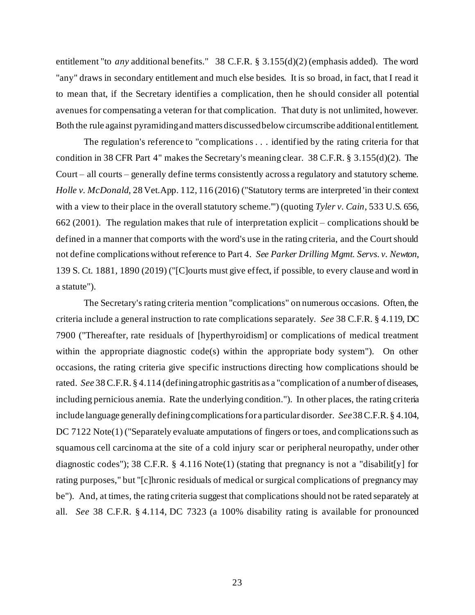entitlement "to *any* additional benefits." 38 C.F.R. § 3.155(d)(2) (emphasis added). The word "any" draws in secondary entitlement and much else besides. It is so broad, in fact, that I read it to mean that, if the Secretary identifies a complication, then he should consider all potential avenues for compensating a veteran for that complication. That duty is not unlimited, however. Both the rule against pyramiding and matters discussed below circumscribe additional entitlement.

The regulation's reference to "complications . . . identified by the rating criteria for that condition in 38 CFR Part 4" makes the Secretary's meaning clear. 38 C.F.R. § 3.155(d)(2). The Court – all courts – generally define terms consistently across a regulatory and statutory scheme. *Holle v. McDonald*, 28 Vet.App. 112, 116 (2016) ("Statutory terms are interpreted 'in their context with a view to their place in the overall statutory scheme.'") (quoting *Tyler v. Cain*, 533 U.S. 656, 662 (2001). The regulation makes that rule of interpretation explicit – complications should be defined in a manner that comports with the word's use in the rating criteria, and the Court should not define complications without reference to Part 4. *See Parker Drilling Mgmt. Servs. v. Newton*, 139 S. Ct. 1881, 1890 (2019) ("[C]ourts must give effect, if possible, to every clause and word in a statute").

The Secretary's rating criteria mention "complications" on numerous occasions. Often, the criteria include a general instruction to rate complications separately. *See* 38 C.F.R. § 4.119, DC 7900 ("Thereafter, rate residuals of [hyperthyroidism] or complications of medical treatment within the appropriate diagnostic code(s) within the appropriate body system"). On other occasions, the rating criteria give specific instructions directing how complications should be rated. *See* 38 C.F.R. § 4.114 (defining atrophic gastritis as a "complication of a number of diseases, including pernicious anemia. Rate the underlying condition."). In other places, the rating criteria include language generally defining complications for a particular disorder. *See* 38 C.F.R. § 4.104, DC 7122 Note(1) ("Separately evaluate amputations of fingers or toes, and complications such as squamous cell carcinoma at the site of a cold injury scar or peripheral neuropathy, under other diagnostic codes"); 38 C.F.R. § 4.116 Note(1) (stating that pregnancy is not a "disabilit[y] for rating purposes," but "[c]hronic residuals of medical or surgical complications of pregnancy may be"). And, at times, the rating criteria suggest that complications should not be rated separately at all. *See* 38 C.F.R. § 4.114, DC 7323 (a 100% disability rating is available for pronounced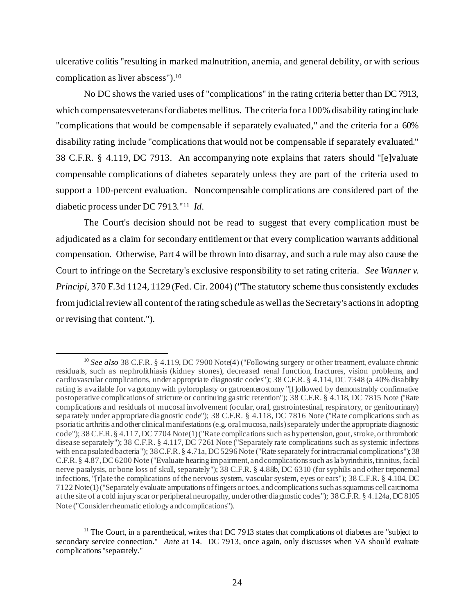ulcerative colitis "resulting in marked malnutrition, anemia, and general debility, or with serious complication as liver abscess").<sup>10</sup>

No DC shows the varied uses of "complications" in the rating criteria better than DC 7913, which compensates veterans for diabetes mellitus. The criteria for a 100% disability rating include "complications that would be compensable if separately evaluated," and the criteria for a 60% disability rating include "complications that would not be compensable if separately evaluated." 38 C.F.R. § 4.119, DC 7913. An accompanying note explains that raters should "[e]valuate compensable complications of diabetes separately unless they are part of the criteria used to support a 100-percent evaluation. Noncompensable complications are considered part of the diabetic process under DC 7913."<sup>11</sup> *Id.* 

The Court's decision should not be read to suggest that every complication must be adjudicated as a claim for secondary entitlement or that every complication warrants additional compensation. Otherwise, Part 4 will be thrown into disarray, and such a rule may also cause the Court to infringe on the Secretary's exclusive responsibility to set rating criteria. *See Wanner v. Principi*, 370 F.3d 1124, 1129 (Fed. Cir. 2004) ("The statutory scheme thus consistently excludes from judicial review all content of the rating schedule as well as the Secretary's actions in adopting or revising that content.").

<sup>&</sup>lt;sup>10</sup> See also 38 C.F.R. § 4.119, DC 7900 Note(4) ("Following surgery or other treatment, evaluate chronic residuals, such as nephrolithiasis (kidney stones), decreased renal function, fractures, vision problems, and cardiovascular complications, under appropriate diagnostic codes"); 38 C.F.R. § 4.114, DC 7348 (a 40% disability rating is available for vagotomy with pyloroplasty or gatroenterostomy "[f]ollowed by demonstrably confirmative postoperative complications of stricture or continuing gastric retention"); 38 C.F.R. § 4.118, DC 7815 Note ("Rate complications and residuals of mucosal involvement (ocular, oral, gastrointestinal, respiratory, or genitourinary) separately under appropriate diagnostic code"); 38 C.F.R. § 4.118, DC 7816 Note ("Rate complications such as psoriatic arthritis and other clinical manifestations (e.g. oral mucosa, nails) separately under the appropriate diagnostic code"); 38 C.F.R. § 4.117, DC 7704 Note(1) ("Rate complications such as hypertension, gout, stroke, or thrombotic disease separately"); 38 C.F.R. § 4.117, DC 7261 Note ("Separately rate complications such as systemic infections with encapsulated bacteria"); 38 C.F.R. § 4.71a, DC 5296 Note ("Rate separately for intracranial complications"); 38 C.F.R. § 4.87, DC 6200 Note ("Evaluate hearing impairment, and complications such as labyrinthitis, tinnitus, facial nerve paralysis, or bone loss of skull, separately"); 38 C.F.R. § 4.88b, DC 6310 (for syphilis and other treponemal infections, "[r]ate the complications of the nervous system, vascular system, eyes or ears"); 38 C.F.R. § 4.104, DC 7122 Note(1) ("Separately evaluate amputations of fingers or toes, and complications such as squamous cell carcinoma at the site of a cold injury scar or peripheral neuropathy, under other diagnostic codes"); 38 C.F.R. § 4.124a, DC 8105 Note ("Consider rheumatic etiology and complications").

 $11$  The Court, in a parenthetical, writes that DC 7913 states that complications of diabetes are "subject to secondary service connection." *Ante* at 14. DC 7913, once again, only discusses when VA should evaluate complications "separately."